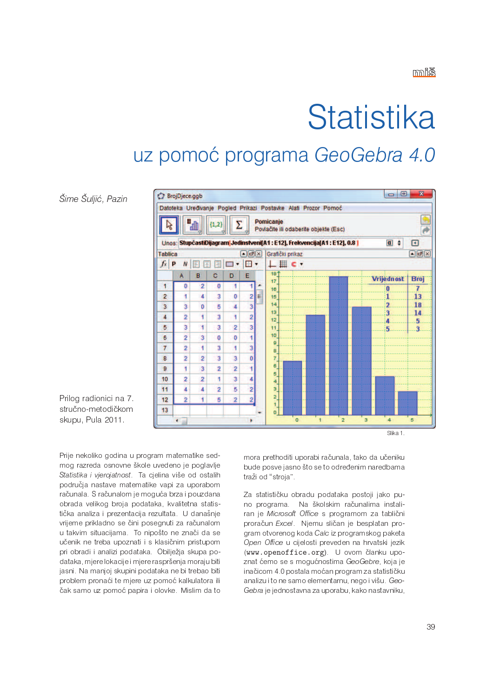# Statistika

## uz pomoć programa GeoGebra 4.0

Šime Šuljić, Pazin



Prilog radionici na 7. stručno-metodičkom skupu, Pula 2011.

Prije nekoliko godina u program matematike sedmog razreda osnovne škole uvedeno je poglavlje Statistika i vjerojatnost. Ta cjelina više od ostalih područja nastave matematike vapi za uporabom računala. S računalom je moguća brza i pouzdana obrada velikog broja podataka, kvalitetna statistička analiza i prezentacija rezultata. U današnje vrijeme prikladno se čini posegnuti za računalom u takvim situacijama. To nipošto ne znači da se učenik ne treba upoznati i s klasičnim pristupom pri obradi i analizi podataka. Obilježja skupa podataka, mjere lokacije i mjere raspršenja moraju biti jasni. Na manjoj skupini podataka ne bi trebao biti problem pronaći te mjere uz pomoć kalkulatora ili čak samo uz pomoć papira i olovke. Mislim da to

mora prethoditi uporabi računala, tako da učeniku bude posve jasno što se to određenim naredbama traži od "stroja".

Za statističku obradu podataka postoji jako puno programa. Na školskim računalima instaliran je Microsoft Office s programom za tablični proračun Excel. Niemu sličan je besplatan program otvorenog koda Calc iz programskog paketa Open Office u cijelosti preveden na hrvatski jezik (www.openoffice.org) U ovom članku upoznat ćemo se s mogućnostima GeoGebre, koja je inačicom 4.0 postala moćan program za statističku analizu i to ne samo elementarnu, nego i višu. Geo-Gebra je jednostavna za uporabu, kako nastavniku,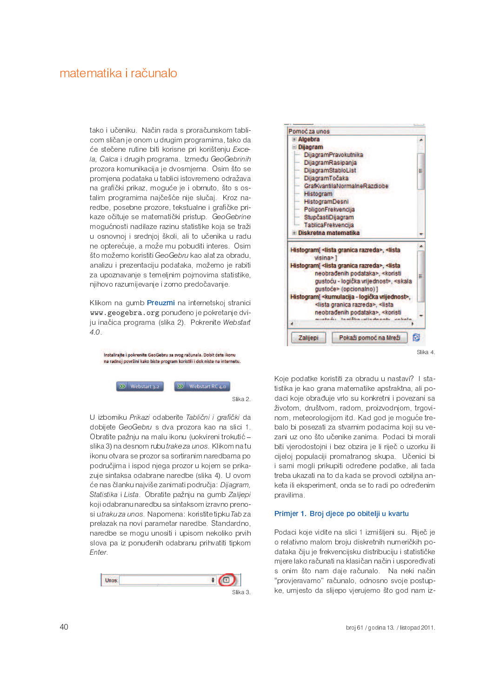tako i učeniku. Način rada s proračunskom tablicom sličan je onom u drugim programima, tako da će stečene rutine biti korisne pri korištenju Excela, Calca i drugih programa. Između GeoGebrinih prozora komunikacija je dvosmjerna. Osim što se promjena podataka u tablici istovremeno odražava na grafički prikaz, moguće je i obrnuto, što s ostalim programima najčešće nije slučaj. Kroz naredbe, posebne prozore, tekstualne i grafičke prikaze očituje se matematički pristup. GeoGebrine mogućnosti nadilaze razinu statistike koja se traži u osnovnoj i srednioj školi, ali to učenika u radu ne opterećuje, a može mu pobuditi interes. Osim što možemo koristiti GeoGebru kao alat za obradu. analizu i prezentaciju podataka, možemo je rabiti za upoznavanje s temeljnim pojmovima statistike. njihovo razumijevanje i zorno predočavanje.

Klikom na gumb Preuzmi na internetskoj stranici www.geogebra.org ponuđeno je pokretanje dviju inačica programa (slika 2). Pokrenite Webstart  $4.0.$ 



U izborniku Prikazi odaberite Tablični i grafički da dobijete GeoGebru s dva prozora kao na slici 1. Obratite pažnju na malu ikonu (uokvireni trokutić slika 3) na desnom rubutrake za unos. Klikom na tu ikonu otvara se prozor sa sortiranim naredbama po područjima i ispod njega prozor u kojem se prikazuje sintaksa odabrane naredbe (slika 4). U ovom će nas članku najviše zanimati područja: Dijagram, Statistika i Lista. Obratite pažnju na gumb Zalijepi koji odabranu naredbu sa sintaksom izravno prenosi utraku za unos. Napomena: koristite tipku Tab za prelazak na novi parametar naredbe. Standardno, naredbe se mogu unositi i upisom nekoliko prvih slova pa iz ponuđenih odabranu prihvatiti tipkom Enter.





Koje podatke koristiti za obradu u nastavi? I statistika je kao grana matematike apstraktna, ali podaci koje obrađuje vrlo su konkretni i povezani sa životom, društvom, radom, proizvodnjom, trgovinom, meteorologijom itd. Kad god je moguće trebalo bi posezati za stvarnim podacima koji su vezani uz ono što učenike zanima. Podaci bi morali biti vjerodostojni i bez obzira je li riječ o uzorku ili cijeloj populaciji promatranog skupa. Učenici bi i sami mogli prikupiti određene podatke, ali tada treba ukazati na to da kada se provodi ozbiljna anketa ili eksperiment, onda se to radi po određenim pravilima.

#### Primjer 1. Broj djece po obitelji u kvartu

Podaci koje vidite na slici 1 izmišljeni su. Riječ je o relativno malom broju diskretnih numeričkih podataka čiju je frekvencijsku distribuciju i statističke mjere lako računati na klasičan način i uspoređivati s onim što nam daje računalo. Na neki način "provjeravamo" računalo, odnosno svoje postupke, umjesto da slijepo vjerujemo što god nam iz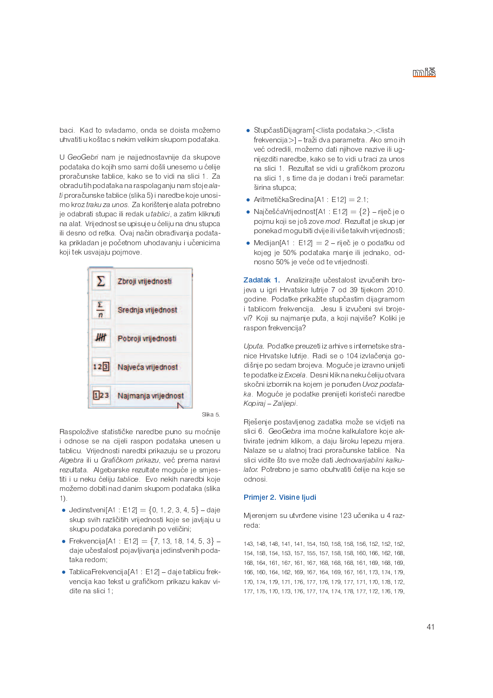baci. Kad to svladamo, onda se doista možemo uhvatiti u koštac s nekim velikim skupom podataka.

U GeoGebri nam je najjednostavnije da skupove podataka do kojih smo sami došli unesemo u ćelije proračunske tablice, kako se to vidi na slici 1. Za obradu tih podataka na raspolaganju nam stoje alati proračunske tablice (slika 5) i naredbe koje unosimo kroz traku za unos. Za korištenje alata potrebno je odabrati stupac ili redak u tablici, a zatim kliknuti na alat. Vrijednost se upisuje u ćeliju na dnu stupca ili desno od retka. Ovai način obrađivania podataka prikladan je početnom uhodavanju i učenicima koji tek usvajaju pojmove.





Raspoložive statističke naredbe puno su moćnije i odnose se na cijeli raspon podataka unesen u tablicu. Vrijednosti naredbi prikazuju se u prozoru Algebra ili u Grafičkom prikazu, već prema naravi rezultata. Algebarske rezultate moguće je smjestiti i u neku ćeliju tablice. Evo nekih naredbi koje možemo dobiti nad danim skupom podataka (slika  $1)$ .

- Jedinstveni[A1 : E12] =  $\{0, 1, 2, 3, 4, 5\}$  daje skup svih različitih vrijednosti koje se javljaju u skupu podataka poredanih po veličini;
- Frekvencija[A1 : E12] = {7, 13, 18, 14, 5, 3} daje učestalost pojavljivanja jedinstvenih podataka redom;
- TablicaFrekvencija[A1 : E12] daje tablicu frekvencija kao tekst u grafičkom prikazu kakav vidite na slici 1:
- · StupčastiDijagram[<lista podataka>, <lista frekvencija>] – traži dva parametra. Ako smo ih već odredili, možemo dati njihove nazive ili ugnijezditi naredbe, kako se to vidi u traci za unos na slici 1. Rezultat se vidi u grafičkom prozoru na slici 1, s time da je dodan i treći parametar: širina stupca:
- AritmetičkaSredina $[A1 : E12] = 2.1$ ;
- NajčešćaVrijednost $[A1 : E12] = \{2\}$  riječ je o pojmu koji se još zove mod. Rezultat je skup jer ponekad mogu biti dvije ili više takvih vrijednosti;
- Medijan $[A1 : E12] = 2 -$  riječ je o podatku od kojeg je 50% podataka manje ili jednako, odnosno 50% je veće od te vrijednosti.

Zadatak 1. Analizirajte učestalost izvučenih brojeva u igri Hrvatske lutrije 7 od 39 tijekom 2010. godine. Podatke prikažite stupčastim dijagramom i tablicom frekvencija. Jesu li izvučeni svi brojevi? Koji su najmanje puta, a koji najviše? Koliki je raspon frekvencija?

Uputa. Podatke preuzeti iz arhive s internetske stranice Hrvatske lutrije. Radi se o 104 izvlačenja godišnje po sedam brojeva. Moguće je izravno unijeti te podatke iz Excela. Desni klik na neku ćeliju otvara skočni izbornik na kojem je ponuđen Uvoz podataka. Moquće je podatke prenijeti koristeći naredbe Kopiraj - Zalijepi.

Riešenje postavljenog zadatka može se vidjeti na slici 6. GeoGebra ima moćne kalkulatore koje aktivirate jednim klikom, a daju široku lepezu mjera. Nalaze se u alatnoj traci proračunske tablice. Na slici vidite što sve može dati Jednovarijabilni kalkulator. Potrebno je samo obuhvatiti ćelije na koje se odnosi.

### Primjer 2. Visine ljudi

Mjerenjem su utvrđene visine 123 učenika u 4 razreda:

143, 148, 148, 141, 141, 154, 150, 158, 158, 156, 152, 152, 152, 154, 158, 154, 153, 157, 155, 157, 158, 158, 160, 166, 162, 168, 168, 164, 161, 167, 161, 167, 168, 168, 168, 161, 169, 168, 169, 166, 160, 164, 162, 169, 167, 164, 169, 167, 161, 173, 174, 179, 170, 174, 179, 171, 176, 177, 176, 179, 177, 171, 170, 178, 172, 177, 175, 170, 173, 176, 177, 174, 174, 178, 177, 172, 176, 179,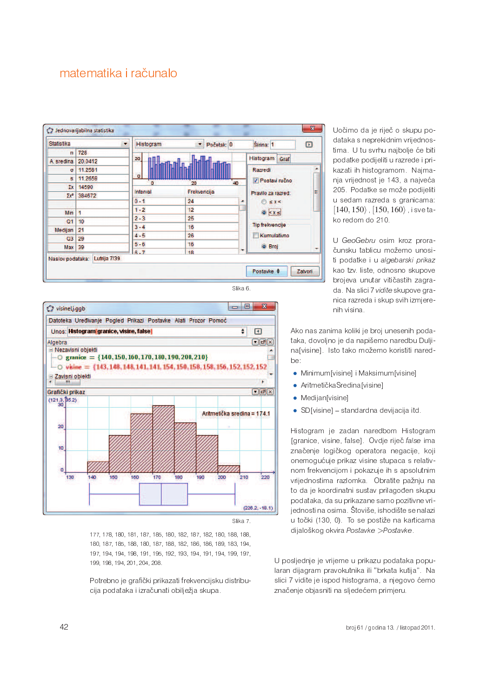





177, 178, 180, 181, 187, 185, 180, 182, 187, 182, 180, 188, 188, 180, 187, 185, 188, 180, 187, 188, 182, 186, 186, 189, 183, 194, 197, 194, 194, 198, 191, 195, 192, 193, 194, 191, 194, 199, 197, 199, 198, 194, 201, 204, 208.

Potrebno je grafički prikazati frekvencijsku distribucija podataka i izračunati obilježja skupa.

Uočimo da je riječ o skupu podataka s neprekidnim vrijednostima. U tu svrhu najbolje će biti podatke podijeliti u razrede i prikazati ih histogramom. Najmanja vrijednost je 143, a najveća 205. Podatke se može podijeliti u sedam razreda s granicama:  $|140, 150\rangle$   $|150, 160\rangle$  is ve ta ko redom do 210.

U GeoGebru osim kroz proračunsku tablicu možemo unositi podatke i u algebarski prikaz kao tzv. liste, odnosno skupove brojeva unutar vitičastih zagrada. Na slici 7 vidite skupove granica razreda i skup svih izmjerenih visina.

Ako nas zanima koliki je broj unesenih podataka, dovoljno je da napišemo naredbu Duljina[visine]. Isto tako možemo koristiti naredhe.

- Minimum[visine] i Maksimum[visine]
- AritmetičkaSredina[visine]
- Medijan[visine]
- SD[visine] standardna devijacija itd.

Histogram je zadan naredbom Histogram [granice, visine, false]. Ovdje riječ false ima značenje logičkog operatora negacije, koji onemogućuje prikaz visine stupaca s relativnom frekvencijom i pokazuje ih s apsolutnim vrijednostima razlomka. Obratite pažnju na to da je koordinatni sustav prilagođen skupu podataka, da su prikazane samo pozitivne vrijednosti na osima. Štoviše, ishodište se nalazi u točki (130, 0). To se postiže na karticama dijaloškog okvira Postavke >Postavke

U posljednje je vrijeme u prikazu podataka popularan dijagram pravokutnika ili "brkata kutija". Na slici 7 vidite je ispod histograma, a njegovo ćemo značenje objasniti na sljedećem primjeru.